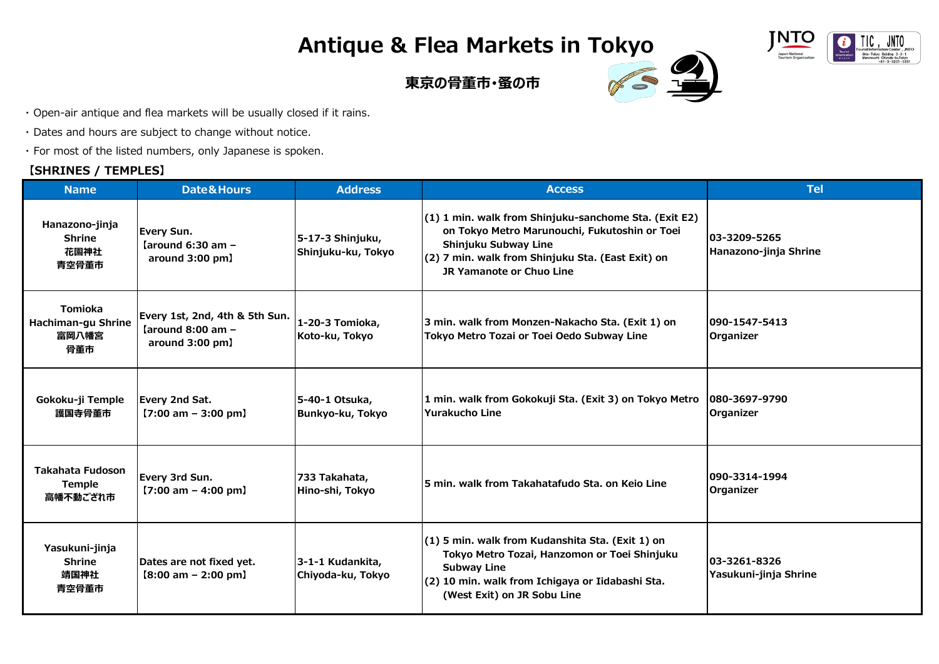## **Antique & Flea Markets in Tokyo**



## **東京の骨董市・蚤の市**



- ・ Open-air antique and flea markets will be usually closed if it rains.
- ・ Dates and hours are subject to change without notice.
- ・ For most of the listed numbers, only Japanese is spoken.

## **【SHRINES / TEMPLES】**

| <b>Name</b>                                          | <b>Date&amp;Hours</b>                                                             | <b>Address</b>                         | <b>Access</b>                                                                                                                                                                                                   | <b>Tel</b>                            |  |
|------------------------------------------------------|-----------------------------------------------------------------------------------|----------------------------------------|-----------------------------------------------------------------------------------------------------------------------------------------------------------------------------------------------------------------|---------------------------------------|--|
| Hanazono-jinja<br><b>Shrine</b><br>花園神社<br>青空骨董市     | Every Sun.<br>[around 6:30 am $-$<br>around 3:00 pm]                              | 5-17-3 Shinjuku,<br>Shinjuku-ku, Tokyo | (1) 1 min. walk from Shinjuku-sanchome Sta. (Exit E2)<br>on Tokyo Metro Marunouchi, Fukutoshin or Toei<br>Shinjuku Subway Line<br>(2) 7 min. walk from Shinjuku Sta. (East Exit) on<br>JR Yamanote or Chuo Line | 03-3209-5265<br>Hanazono-jinja Shrine |  |
| <b>Tomioka</b><br>Hachiman-gu Shrine<br>富岡八幡宮<br>骨董市 | Every 1st, 2nd, 4th & 5th Sun.<br>$\lambda$ around 8:00 am $-$<br>around 3:00 pm] | 1-20-3 Tomioka,<br>Koto-ku, Tokyo      | 3 min. walk from Monzen-Nakacho Sta. (Exit 1) on<br>Tokyo Metro Tozai or Toei Oedo Subway Line                                                                                                                  | 090-1547-5413<br>Organizer            |  |
| Gokoku-ji Temple<br>護国寺骨董市                           | Every 2nd Sat.<br>$[7:00 \text{ am} - 3:00 \text{ pm}]$                           | 5-40-1 Otsuka,<br>Bunkyo-ku, Tokyo     | 1 min. walk from Gokokuji Sta. (Exit 3) on Tokyo Metro<br><b>Yurakucho Line</b>                                                                                                                                 | 080-3697-9790<br><b>Organizer</b>     |  |
| <b>Takahata Fudoson</b><br><b>Temple</b><br>高幡不動ござれ市 | Every 3rd Sun.<br>$[7:00 \text{ am} - 4:00 \text{ pm}]$                           | 733 Takahata,<br>Hino-shi, Tokyo       | 5 min. walk from Takahatafudo Sta. on Keio Line                                                                                                                                                                 | 1090-3314-1994<br>Organizer           |  |
| Yasukuni-jinja<br><b>Shrine</b><br>靖国神社<br>青空骨董市     | Dates are not fixed yet.<br>$[8:00 \text{ am} - 2:00 \text{ pm}]$                 | 3-1-1 Kudankita,<br>Chiyoda-ku, Tokyo  | (1) 5 min. walk from Kudanshita Sta. (Exit 1) on<br>Tokyo Metro Tozai, Hanzomon or Toei Shinjuku<br><b>Subway Line</b><br>(2) 10 min. walk from Ichigaya or Iidabashi Sta.<br>(West Exit) on JR Sobu Line       | 03-3261-8326<br>Yasukuni-jinja Shrine |  |